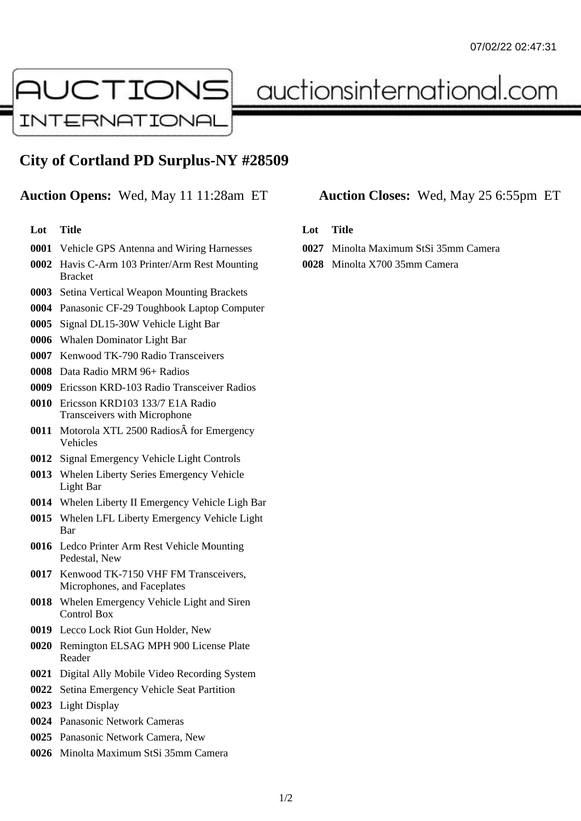

auctionsinternational.com

# **City of Cortland PD Surplus-NY #28509**

## **Auction Opens:** Wed, May 11 11:28am ET **Auction Closes:** Wed, May 25 6:55pm ET

#### **Lot Title**

- Vehicle GPS Antenna and Wiring Harnesses
- Havis C-Arm 103 Printer/Arm Rest Mounting Bracket
- Setina Vertical Weapon Mounting Brackets
- Panasonic CF-29 Toughbook Laptop Computer
- Signal DL15-30W Vehicle Light Bar
- Whalen Dominator Light Bar
- Kenwood TK-790 Radio Transceivers
- Data Radio MRM 96+ Radios
- Ericsson KRD-103 Radio Transceiver Radios
- Ericsson KRD103 133/7 E1A Radio Transceivers with Microphone
- **0011** Motorola XTL 2500 Radios  $\hat{A}$  for Emergency Vehicles
- Signal Emergency Vehicle Light Controls
- Whelen Liberty Series Emergency Vehicle Light Bar
- Whelen Liberty II Emergency Vehicle Ligh Bar
- Whelen LFL Liberty Emergency Vehicle Light Bar
- Ledco Printer Arm Rest Vehicle Mounting Pedestal, New
- Kenwood TK-7150 VHF FM Transceivers, Microphones, and Faceplates
- Whelen Emergency Vehicle Light and Siren Control Box
- Lecco Lock Riot Gun Holder, New
- Remington ELSAG MPH 900 License Plate Reader
- Digital Ally Mobile Video Recording System
- Setina Emergency Vehicle Seat Partition
- Light Display
- Panasonic Network Cameras
- Panasonic Network Camera, New
- Minolta Maximum StSi 35mm Camera

### **Lot Title**

- Minolta Maximum StSi 35mm Camera
- Minolta X700 35mm Camera